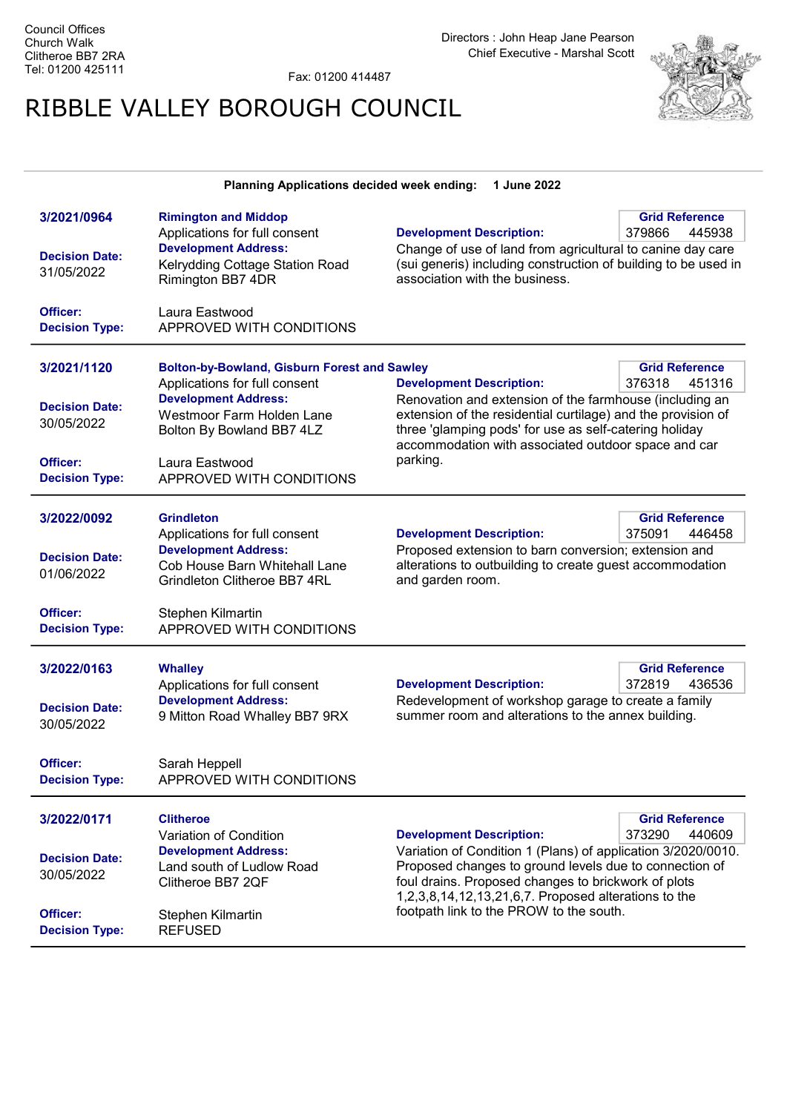Fax: 01200 414487

## RIBBLE VALLEY BOROUGH COUNCIL



## Planning Applications decided week ending: 1 June 2022

| 3/2021/0964           | <b>Rimington and Middop</b>                         |                                                                                                                         | <b>Grid Reference</b> |  |
|-----------------------|-----------------------------------------------------|-------------------------------------------------------------------------------------------------------------------------|-----------------------|--|
|                       | Applications for full consent                       | <b>Development Description:</b>                                                                                         | 379866<br>445938      |  |
|                       | <b>Development Address:</b>                         | Change of use of land from agricultural to canine day care                                                              |                       |  |
| <b>Decision Date:</b> | Kelrydding Cottage Station Road                     | (sui generis) including construction of building to be used in                                                          |                       |  |
| 31/05/2022            | Rimington BB7 4DR                                   | association with the business.                                                                                          |                       |  |
|                       |                                                     |                                                                                                                         |                       |  |
| Officer:              | Laura Eastwood                                      |                                                                                                                         |                       |  |
| <b>Decision Type:</b> | APPROVED WITH CONDITIONS                            |                                                                                                                         |                       |  |
|                       |                                                     |                                                                                                                         |                       |  |
| 3/2021/1120           | <b>Bolton-by-Bowland, Gisburn Forest and Sawley</b> |                                                                                                                         | <b>Grid Reference</b> |  |
|                       | Applications for full consent                       | <b>Development Description:</b>                                                                                         | 376318<br>451316      |  |
|                       | <b>Development Address:</b>                         |                                                                                                                         |                       |  |
| <b>Decision Date:</b> | Westmoor Farm Holden Lane                           | Renovation and extension of the farmhouse (including an<br>extension of the residential curtilage) and the provision of |                       |  |
| 30/05/2022            | Bolton By Bowland BB7 4LZ                           | three 'glamping pods' for use as self-catering holiday                                                                  |                       |  |
|                       |                                                     | accommodation with associated outdoor space and car                                                                     |                       |  |
| Officer:              | Laura Eastwood                                      | parking.                                                                                                                |                       |  |
| <b>Decision Type:</b> | APPROVED WITH CONDITIONS                            |                                                                                                                         |                       |  |
|                       |                                                     |                                                                                                                         |                       |  |
|                       |                                                     |                                                                                                                         |                       |  |
| 3/2022/0092           | <b>Grindleton</b>                                   |                                                                                                                         | <b>Grid Reference</b> |  |
|                       | Applications for full consent                       | <b>Development Description:</b>                                                                                         | 375091<br>446458      |  |
| <b>Decision Date:</b> | <b>Development Address:</b>                         | Proposed extension to barn conversion; extension and                                                                    |                       |  |
| 01/06/2022            | Cob House Barn Whitehall Lane                       | alterations to outbuilding to create guest accommodation                                                                |                       |  |
|                       | Grindleton Clitheroe BB7 4RL                        | and garden room.                                                                                                        |                       |  |
| Officer:              | Stephen Kilmartin                                   |                                                                                                                         |                       |  |
| <b>Decision Type:</b> | APPROVED WITH CONDITIONS                            |                                                                                                                         |                       |  |
|                       |                                                     |                                                                                                                         |                       |  |
|                       |                                                     |                                                                                                                         |                       |  |
| 3/2022/0163           | <b>Whalley</b>                                      |                                                                                                                         | <b>Grid Reference</b> |  |
|                       | Applications for full consent                       | <b>Development Description:</b>                                                                                         | 372819<br>436536      |  |
| <b>Decision Date:</b> | <b>Development Address:</b>                         | Redevelopment of workshop garage to create a family                                                                     |                       |  |
| 30/05/2022            | 9 Mitton Road Whalley BB7 9RX                       | summer room and alterations to the annex building.                                                                      |                       |  |
|                       |                                                     |                                                                                                                         |                       |  |
| Officer:              | Sarah Heppell                                       |                                                                                                                         |                       |  |
| <b>Decision Type:</b> | APPROVED WITH CONDITIONS                            |                                                                                                                         |                       |  |
|                       |                                                     |                                                                                                                         |                       |  |
|                       |                                                     |                                                                                                                         |                       |  |
| 3/2022/0171           | <b>Clitheroe</b>                                    |                                                                                                                         | <b>Grid Reference</b> |  |
|                       | Variation of Condition                              | <b>Development Description:</b>                                                                                         | 373290<br>440609      |  |
| <b>Decision Date:</b> | <b>Development Address:</b>                         | Variation of Condition 1 (Plans) of application 3/2020/0010.                                                            |                       |  |
| 30/05/2022            | Land south of Ludlow Road<br>Clitheroe BB7 2QF      | Proposed changes to ground levels due to connection of<br>foul drains. Proposed changes to brickwork of plots           |                       |  |
|                       |                                                     | 1,2,3,8,14,12,13,21,6,7. Proposed alterations to the                                                                    |                       |  |
| Officer:              |                                                     | footpath link to the PROW to the south.                                                                                 |                       |  |
| <b>Decision Type:</b> | Stephen Kilmartin<br><b>REFUSED</b>                 |                                                                                                                         |                       |  |
|                       |                                                     |                                                                                                                         |                       |  |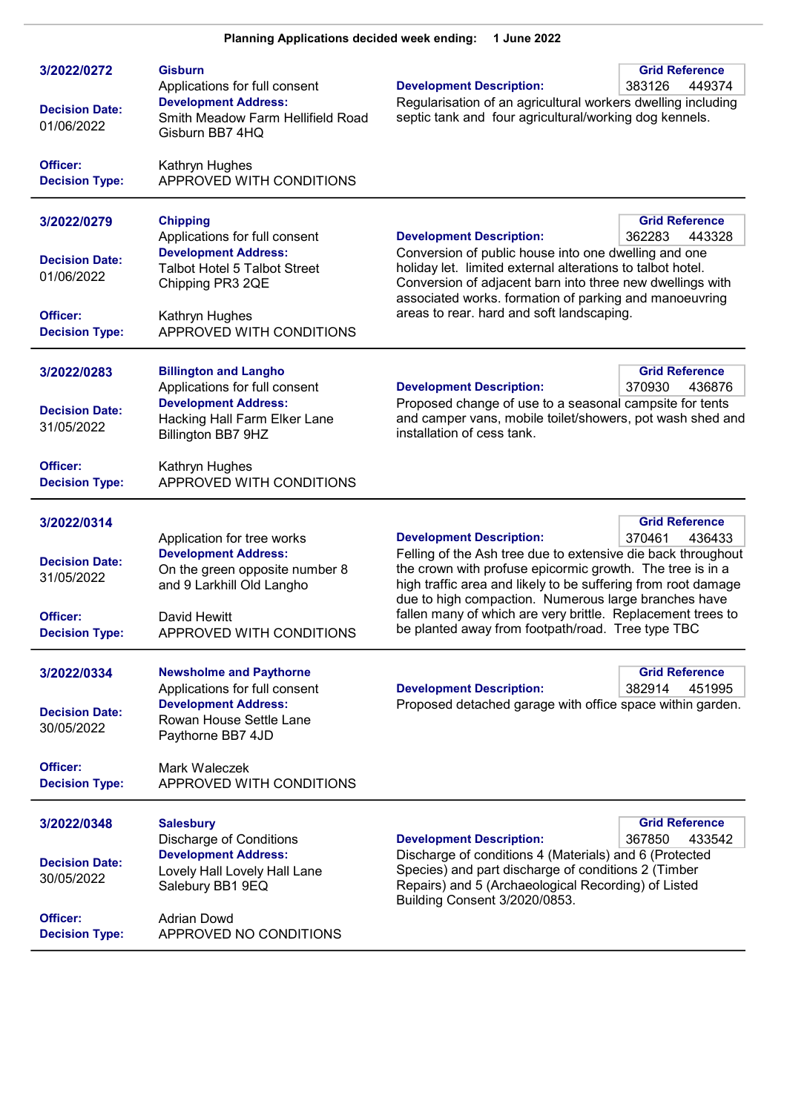| 3/2022/0272<br><b>Decision Date:</b><br>01/06/2022 | <b>Gisburn</b><br>Applications for full consent<br><b>Development Address:</b><br>Smith Meadow Farm Hellifield Road<br>Gisburn BB7 4HQ | <b>Grid Reference</b><br><b>Development Description:</b><br>383126<br>449374<br>Regularisation of an agricultural workers dwelling including<br>septic tank and four agricultural/working dog kennels.                                            |  |
|----------------------------------------------------|----------------------------------------------------------------------------------------------------------------------------------------|---------------------------------------------------------------------------------------------------------------------------------------------------------------------------------------------------------------------------------------------------|--|
| Officer:<br><b>Decision Type:</b>                  | Kathryn Hughes<br>APPROVED WITH CONDITIONS                                                                                             |                                                                                                                                                                                                                                                   |  |
| 3/2022/0279                                        | <b>Chipping</b><br>Applications for full consent                                                                                       | <b>Grid Reference</b><br><b>Development Description:</b><br>362283<br>443328                                                                                                                                                                      |  |
| <b>Decision Date:</b><br>01/06/2022                | <b>Development Address:</b><br><b>Talbot Hotel 5 Talbot Street</b><br>Chipping PR3 2QE                                                 | Conversion of public house into one dwelling and one<br>holiday let. limited external alterations to talbot hotel.<br>Conversion of adjacent barn into three new dwellings with                                                                   |  |
| Officer:<br><b>Decision Type:</b>                  | Kathryn Hughes<br>APPROVED WITH CONDITIONS                                                                                             | associated works. formation of parking and manoeuvring<br>areas to rear. hard and soft landscaping.                                                                                                                                               |  |
| 3/2022/0283                                        | <b>Billington and Langho</b><br>Applications for full consent                                                                          | <b>Grid Reference</b><br><b>Development Description:</b><br>370930<br>436876                                                                                                                                                                      |  |
| <b>Decision Date:</b><br>31/05/2022                | <b>Development Address:</b><br>Hacking Hall Farm Elker Lane<br>Billington BB7 9HZ                                                      | Proposed change of use to a seasonal campsite for tents<br>and camper vans, mobile toilet/showers, pot wash shed and<br>installation of cess tank.                                                                                                |  |
| Officer:<br><b>Decision Type:</b>                  | Kathryn Hughes<br>APPROVED WITH CONDITIONS                                                                                             |                                                                                                                                                                                                                                                   |  |
| 3/2022/0314                                        |                                                                                                                                        | <b>Grid Reference</b>                                                                                                                                                                                                                             |  |
| <b>Decision Date:</b><br>31/05/2022                | Application for tree works<br><b>Development Address:</b><br>On the green opposite number 8<br>and 9 Larkhill Old Langho               | 370461<br><b>Development Description:</b><br>436433<br>Felling of the Ash tree due to extensive die back throughout<br>the crown with profuse epicormic growth. The tree is in a<br>high traffic area and likely to be suffering from root damage |  |
| Officer:<br><b>Decision Type:</b>                  | David Hewitt<br>APPROVED WITH CONDITIONS                                                                                               | due to high compaction. Numerous large branches have<br>fallen many of which are very brittle. Replacement trees to<br>be planted away from footpath/road. Tree type TBC                                                                          |  |
| 3/2022/0334                                        | <b>Newsholme and Paythorne</b><br>Applications for full consent                                                                        | <b>Grid Reference</b><br><b>Development Description:</b><br>382914<br>451995                                                                                                                                                                      |  |
| <b>Decision Date:</b><br>30/05/2022                | <b>Development Address:</b><br>Rowan House Settle Lane<br>Paythorne BB7 4JD                                                            | Proposed detached garage with office space within garden.                                                                                                                                                                                         |  |
| Officer:<br><b>Decision Type:</b>                  | Mark Waleczek<br>APPROVED WITH CONDITIONS                                                                                              |                                                                                                                                                                                                                                                   |  |
| 3/2022/0348                                        | <b>Salesbury</b><br><b>Discharge of Conditions</b>                                                                                     | <b>Grid Reference</b><br><b>Development Description:</b><br>367850<br>433542                                                                                                                                                                      |  |
| <b>Decision Date:</b><br>30/05/2022                | <b>Development Address:</b><br>Lovely Hall Lovely Hall Lane<br>Salebury BB1 9EQ                                                        | Discharge of conditions 4 (Materials) and 6 (Protected<br>Species) and part discharge of conditions 2 (Timber<br>Repairs) and 5 (Archaeological Recording) of Listed<br>Building Consent 3/2020/0853.                                             |  |
| Officer:<br><b>Decision Type:</b>                  | <b>Adrian Dowd</b><br>APPROVED NO CONDITIONS                                                                                           |                                                                                                                                                                                                                                                   |  |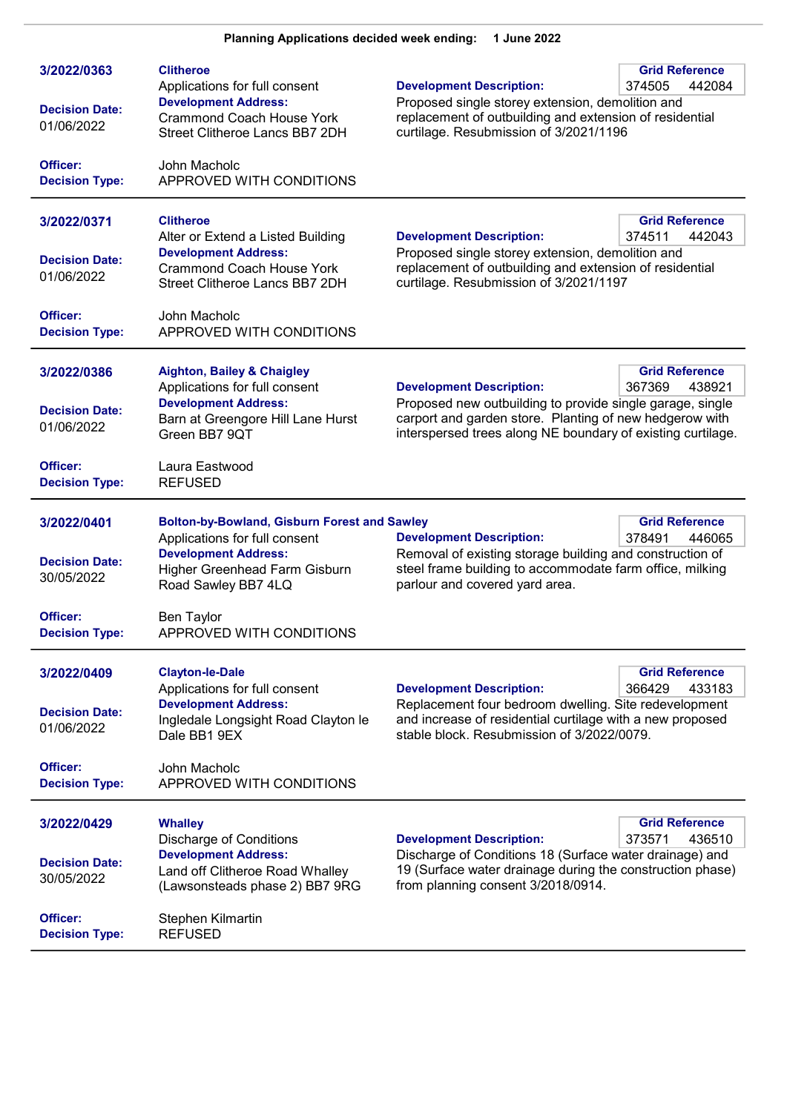| 3/2022/0363<br><b>Decision Date:</b><br>01/06/2022<br>Officer:                          | <b>Clitheroe</b><br>Applications for full consent<br><b>Development Address:</b><br><b>Crammond Coach House York</b><br>Street Clitheroe Lancs BB7 2DH<br>John Macholc                                                | <b>Development Description:</b><br>Proposed single storey extension, demolition and<br>replacement of outbuilding and extension of residential<br>curtilage. Resubmission of 3/2021/1196                               | <b>Grid Reference</b><br>374505<br>442084 |
|-----------------------------------------------------------------------------------------|-----------------------------------------------------------------------------------------------------------------------------------------------------------------------------------------------------------------------|------------------------------------------------------------------------------------------------------------------------------------------------------------------------------------------------------------------------|-------------------------------------------|
| <b>Decision Type:</b>                                                                   | APPROVED WITH CONDITIONS                                                                                                                                                                                              |                                                                                                                                                                                                                        |                                           |
| 3/2022/0371<br><b>Decision Date:</b><br>01/06/2022                                      | <b>Clitheroe</b><br>Alter or Extend a Listed Building<br><b>Development Address:</b><br><b>Crammond Coach House York</b><br>Street Clitheroe Lancs BB7 2DH                                                            | <b>Development Description:</b><br>Proposed single storey extension, demolition and<br>replacement of outbuilding and extension of residential<br>curtilage. Resubmission of 3/2021/1197                               | <b>Grid Reference</b><br>442043<br>374511 |
| Officer:<br><b>Decision Type:</b>                                                       | John Macholc<br>APPROVED WITH CONDITIONS                                                                                                                                                                              |                                                                                                                                                                                                                        |                                           |
| 3/2022/0386<br><b>Decision Date:</b><br>01/06/2022                                      | <b>Aighton, Bailey &amp; Chaigley</b><br>Applications for full consent<br><b>Development Address:</b><br>Barn at Greengore Hill Lane Hurst<br>Green BB7 9QT                                                           | <b>Development Description:</b><br>Proposed new outbuilding to provide single garage, single<br>carport and garden store. Planting of new hedgerow with<br>interspersed trees along NE boundary of existing curtilage. | <b>Grid Reference</b><br>367369<br>438921 |
| Officer:<br><b>Decision Type:</b>                                                       | Laura Eastwood<br><b>REFUSED</b>                                                                                                                                                                                      |                                                                                                                                                                                                                        |                                           |
| 3/2022/0401<br><b>Decision Date:</b><br>30/05/2022<br>Officer:<br><b>Decision Type:</b> | <b>Bolton-by-Bowland, Gisburn Forest and Sawley</b><br>Applications for full consent<br><b>Development Address:</b><br>Higher Greenhead Farm Gisburn<br>Road Sawley BB7 4LQ<br>Ben Taylor<br>APPROVED WITH CONDITIONS | <b>Development Description:</b><br>Removal of existing storage building and construction of<br>steel frame building to accommodate farm office, milking<br>parlour and covered yard area.                              | <b>Grid Reference</b><br>378491<br>446065 |
| 3/2022/0409<br><b>Decision Date:</b><br>01/06/2022<br>Officer:<br><b>Decision Type:</b> | <b>Clayton-le-Dale</b><br>Applications for full consent<br><b>Development Address:</b><br>Ingledale Longsight Road Clayton le<br>Dale BB1 9EX<br>John Macholc<br>APPROVED WITH CONDITIONS                             | <b>Development Description:</b><br>Replacement four bedroom dwelling. Site redevelopment<br>and increase of residential curtilage with a new proposed<br>stable block. Resubmission of 3/2022/0079.                    | <b>Grid Reference</b><br>366429<br>433183 |
| 3/2022/0429<br><b>Decision Date:</b><br>30/05/2022<br>Officer:<br><b>Decision Type:</b> | <b>Whalley</b><br><b>Discharge of Conditions</b><br><b>Development Address:</b><br>Land off Clitheroe Road Whalley<br>(Lawsonsteads phase 2) BB7 9RG<br>Stephen Kilmartin<br><b>REFUSED</b>                           | <b>Development Description:</b><br>Discharge of Conditions 18 (Surface water drainage) and<br>19 (Surface water drainage during the construction phase)<br>from planning consent 3/2018/0914.                          | <b>Grid Reference</b><br>373571<br>436510 |